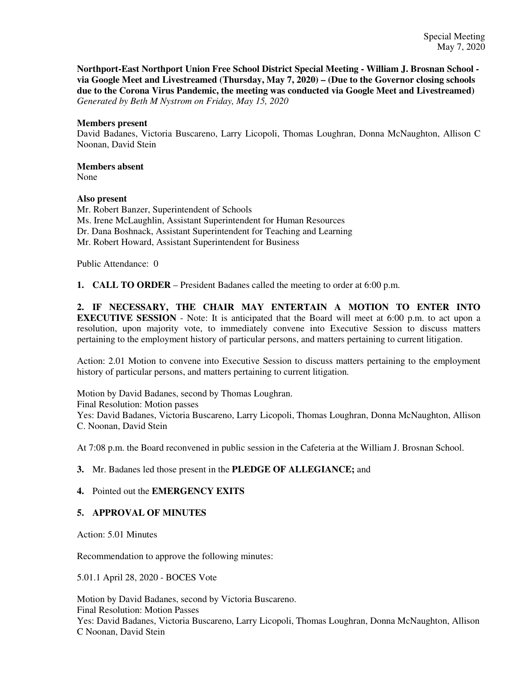**Northport-East Northport Union Free School District Special Meeting - William J. Brosnan School via Google Meet and Livestreamed (Thursday, May 7, 2020) – (Due to the Governor closing schools due to the Corona Virus Pandemic, the meeting was conducted via Google Meet and Livestreamed)** *Generated by Beth M Nystrom on Friday, May 15, 2020*

### **Members present**

David Badanes, Victoria Buscareno, Larry Licopoli, Thomas Loughran, Donna McNaughton, Allison C Noonan, David Stein

## **Members absent**

None

### **Also present**

Mr. Robert Banzer, Superintendent of Schools Ms. Irene McLaughlin, Assistant Superintendent for Human Resources Dr. Dana Boshnack, Assistant Superintendent for Teaching and Learning Mr. Robert Howard, Assistant Superintendent for Business

Public Attendance: 0

**1. CALL TO ORDER** – President Badanes called the meeting to order at 6:00 p.m.

**2. IF NECESSARY, THE CHAIR MAY ENTERTAIN A MOTION TO ENTER INTO EXECUTIVE SESSION** - Note: It is anticipated that the Board will meet at 6:00 p.m. to act upon a resolution, upon majority vote, to immediately convene into Executive Session to discuss matters pertaining to the employment history of particular persons, and matters pertaining to current litigation.

Action: 2.01 Motion to convene into Executive Session to discuss matters pertaining to the employment history of particular persons, and matters pertaining to current litigation.

Motion by David Badanes, second by Thomas Loughran. Final Resolution: Motion passes Yes: David Badanes, Victoria Buscareno, Larry Licopoli, Thomas Loughran, Donna McNaughton, Allison C. Noonan, David Stein

At 7:08 p.m. the Board reconvened in public session in the Cafeteria at the William J. Brosnan School.

### **3.** Mr. Badanes led those present in the **PLEDGE OF ALLEGIANCE;** and

### **4.** Pointed out the **EMERGENCY EXITS**

### **5. APPROVAL OF MINUTES**

Action: 5.01 Minutes

Recommendation to approve the following minutes:

5.01.1 April 28, 2020 - BOCES Vote

Motion by David Badanes, second by Victoria Buscareno. Final Resolution: Motion Passes Yes: David Badanes, Victoria Buscareno, Larry Licopoli, Thomas Loughran, Donna McNaughton, Allison C Noonan, David Stein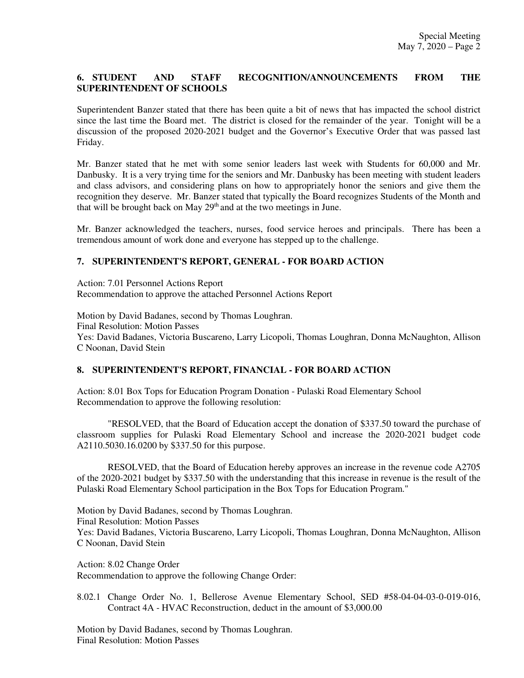### **6. STUDENT AND STAFF RECOGNITION/ANNOUNCEMENTS FROM THE SUPERINTENDENT OF SCHOOLS**

Superintendent Banzer stated that there has been quite a bit of news that has impacted the school district since the last time the Board met. The district is closed for the remainder of the year. Tonight will be a discussion of the proposed 2020-2021 budget and the Governor's Executive Order that was passed last Friday.

Mr. Banzer stated that he met with some senior leaders last week with Students for 60,000 and Mr. Danbusky. It is a very trying time for the seniors and Mr. Danbusky has been meeting with student leaders and class advisors, and considering plans on how to appropriately honor the seniors and give them the recognition they deserve. Mr. Banzer stated that typically the Board recognizes Students of the Month and that will be brought back on May  $29<sup>th</sup>$  and at the two meetings in June.

Mr. Banzer acknowledged the teachers, nurses, food service heroes and principals. There has been a tremendous amount of work done and everyone has stepped up to the challenge.

### **7. SUPERINTENDENT'S REPORT, GENERAL - FOR BOARD ACTION**

Action: 7.01 Personnel Actions Report Recommendation to approve the attached Personnel Actions Report

Motion by David Badanes, second by Thomas Loughran. Final Resolution: Motion Passes Yes: David Badanes, Victoria Buscareno, Larry Licopoli, Thomas Loughran, Donna McNaughton, Allison C Noonan, David Stein

### **8. SUPERINTENDENT'S REPORT, FINANCIAL - FOR BOARD ACTION**

Action: 8.01 Box Tops for Education Program Donation - Pulaski Road Elementary School Recommendation to approve the following resolution:

"RESOLVED, that the Board of Education accept the donation of \$337.50 toward the purchase of classroom supplies for Pulaski Road Elementary School and increase the 2020-2021 budget code A2110.5030.16.0200 by \$337.50 for this purpose.

RESOLVED, that the Board of Education hereby approves an increase in the revenue code A2705 of the 2020-2021 budget by \$337.50 with the understanding that this increase in revenue is the result of the Pulaski Road Elementary School participation in the Box Tops for Education Program."

Motion by David Badanes, second by Thomas Loughran. Final Resolution: Motion Passes Yes: David Badanes, Victoria Buscareno, Larry Licopoli, Thomas Loughran, Donna McNaughton, Allison C Noonan, David Stein

Action: 8.02 Change Order Recommendation to approve the following Change Order:

8.02.1 Change Order No. 1, Bellerose Avenue Elementary School, SED #58-04-04-03-0-019-016, Contract 4A - HVAC Reconstruction, deduct in the amount of \$3,000.00

Motion by David Badanes, second by Thomas Loughran. Final Resolution: Motion Passes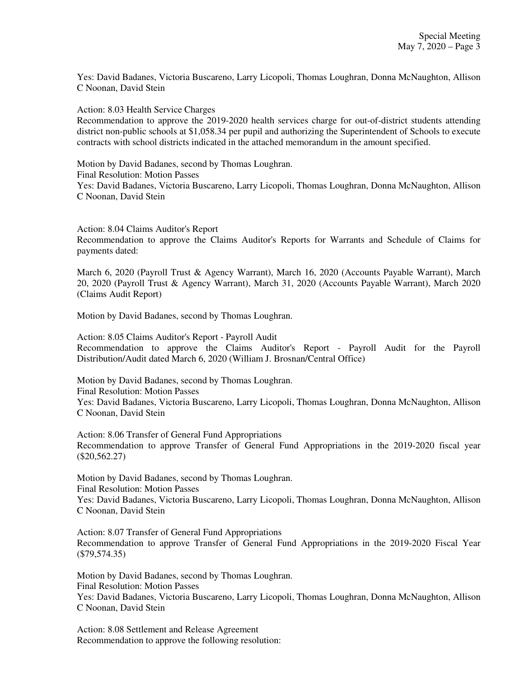Yes: David Badanes, Victoria Buscareno, Larry Licopoli, Thomas Loughran, Donna McNaughton, Allison C Noonan, David Stein

Action: 8.03 Health Service Charges

Recommendation to approve the 2019-2020 health services charge for out-of-district students attending district non-public schools at \$1,058.34 per pupil and authorizing the Superintendent of Schools to execute contracts with school districts indicated in the attached memorandum in the amount specified.

Motion by David Badanes, second by Thomas Loughran. Final Resolution: Motion Passes Yes: David Badanes, Victoria Buscareno, Larry Licopoli, Thomas Loughran, Donna McNaughton, Allison C Noonan, David Stein

Action: 8.04 Claims Auditor's Report Recommendation to approve the Claims Auditor's Reports for Warrants and Schedule of Claims for payments dated:

March 6, 2020 (Payroll Trust & Agency Warrant), March 16, 2020 (Accounts Payable Warrant), March 20, 2020 (Payroll Trust & Agency Warrant), March 31, 2020 (Accounts Payable Warrant), March 2020 (Claims Audit Report)

Motion by David Badanes, second by Thomas Loughran.

Action: 8.05 Claims Auditor's Report - Payroll Audit Recommendation to approve the Claims Auditor's Report - Payroll Audit for the Payroll Distribution/Audit dated March 6, 2020 (William J. Brosnan/Central Office)

Motion by David Badanes, second by Thomas Loughran. Final Resolution: Motion Passes Yes: David Badanes, Victoria Buscareno, Larry Licopoli, Thomas Loughran, Donna McNaughton, Allison C Noonan, David Stein

Action: 8.06 Transfer of General Fund Appropriations Recommendation to approve Transfer of General Fund Appropriations in the 2019-2020 fiscal year (\$20,562.27)

Motion by David Badanes, second by Thomas Loughran. Final Resolution: Motion Passes Yes: David Badanes, Victoria Buscareno, Larry Licopoli, Thomas Loughran, Donna McNaughton, Allison C Noonan, David Stein

Action: 8.07 Transfer of General Fund Appropriations Recommendation to approve Transfer of General Fund Appropriations in the 2019-2020 Fiscal Year (\$79,574.35)

Motion by David Badanes, second by Thomas Loughran. Final Resolution: Motion Passes Yes: David Badanes, Victoria Buscareno, Larry Licopoli, Thomas Loughran, Donna McNaughton, Allison C Noonan, David Stein

Action: 8.08 Settlement and Release Agreement Recommendation to approve the following resolution: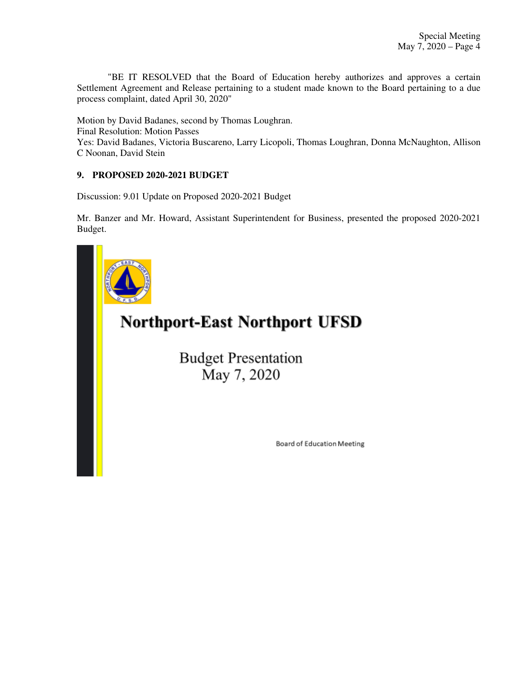"BE IT RESOLVED that the Board of Education hereby authorizes and approves a certain Settlement Agreement and Release pertaining to a student made known to the Board pertaining to a due process complaint, dated April 30, 2020"

Motion by David Badanes, second by Thomas Loughran. Final Resolution: Motion Passes Yes: David Badanes, Victoria Buscareno, Larry Licopoli, Thomas Loughran, Donna McNaughton, Allison C Noonan, David Stein

### **9. PROPOSED 2020-2021 BUDGET**

Discussion: 9.01 Update on Proposed 2020-2021 Budget

Mr. Banzer and Mr. Howard, Assistant Superintendent for Business, presented the proposed 2020-2021 Budget.



# **Northport-East Northport UFSD**

**Budget Presentation** May 7, 2020

Board of Education Meeting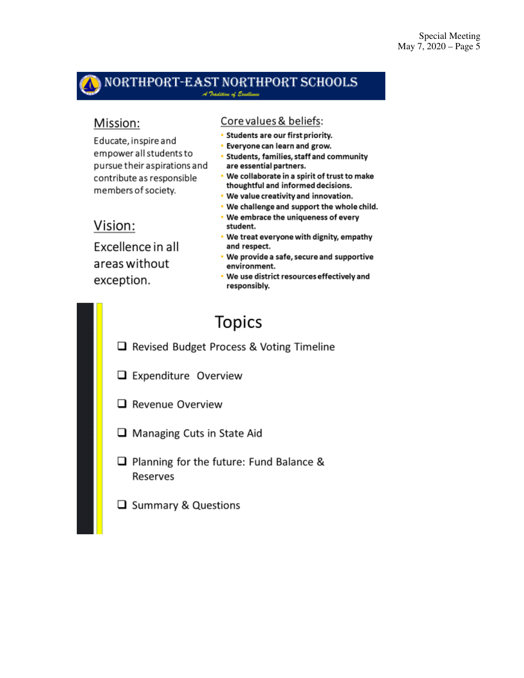# NORTHPORT-EAST NORTHPORT SCHOOLS

### Mission:

Educate, inspire and empower all students to pursue their aspirations and contribute as responsible members of society.

## Vision:

Excellence in all areas without exception.

### Core values & beliefs:

- Students are our first priority.
- Everyone can learn and grow.
- Students, families, staff and community are essential partners.
- . We collaborate in a spirit of trust to make thoughtful and informed decisions.
- . We value creativity and innovation.
- . We challenge and support the whole child.
- We embrace the uniqueness of every student.
- . We treat everyone with dignity, empathy and respect.
- . We provide a safe, secure and supportive environment.
- We use district resources effectively and responsibly.

# **Topics**

- Revised Budget Process & Voting Timeline
- $\Box$  Expenditure Overview
- $\Box$  Revenue Overview
- $\Box$  Managing Cuts in State Aid
- $\Box$  Planning for the future: Fund Balance & Reserves
- $\Box$  Summary & Questions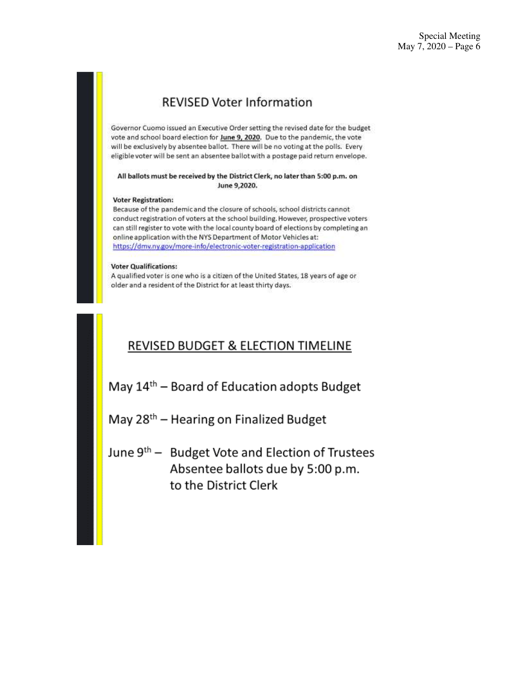## **REVISED Voter Information**

Governor Cuomo issued an Executive Order setting the revised date for the budget vote and school board election for June 9, 2020. Due to the pandemic, the vote will be exclusively by absentee ballot. There will be no voting at the polls. Every eligible voter will be sent an absentee ballot with a postage paid return envelope.

#### All ballots must be received by the District Clerk, no later than 5:00 p.m. on June 9,2020.

#### **Voter Registration:**

Because of the pandemic and the closure of schools, school districts cannot conduct registration of voters at the school building. However, prospective voters can still register to vote with the local county board of elections by completing an online application with the NYS Department of Motor Vehicles at: https://dmv.ny.gov/more-info/electronic-voter-registration-application

#### **Voter Qualifications:**

A qualified voter is one who is a citizen of the United States, 18 years of age or older and a resident of the District for at least thirty days.

## REVISED BUDGET & ELECTION TIMELINE

May 14<sup>th</sup> – Board of Education adopts Budget

May 28<sup>th</sup> – Hearing on Finalized Budget

June 9<sup>th</sup> - Budget Vote and Election of Trustees Absentee ballots due by 5:00 p.m. to the District Clerk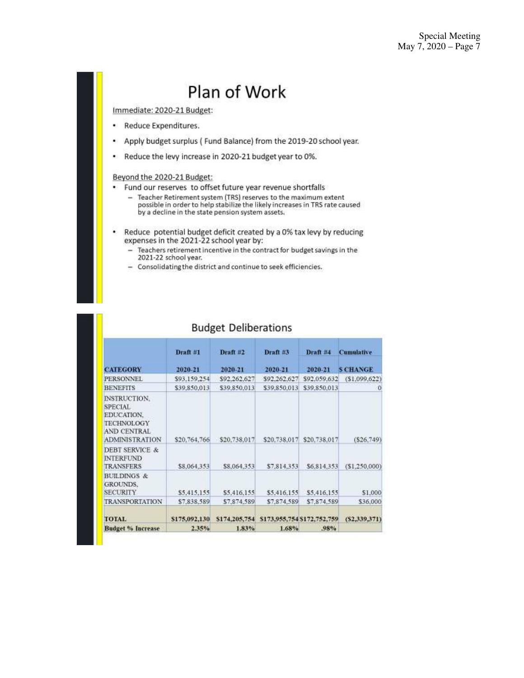# Plan of Work

Immediate: 2020-21 Budget:

- ٠. Reduce Expenditures.
- Apply budget surplus ( Fund Balance) from the 2019-20 school year.  $\bullet$
- Reduce the levy increase in 2020-21 budget year to 0%.

### Beyond the 2020-21 Budget:

- . Fund our reserves to offset future year revenue shortfalls
	- Teacher Retirement system (TRS) reserves to the maximum extent<br>possible in order to help stabilize the likely increases in TRS rate caused by a decline in the state pension system assets.
- $\bullet$ Reduce potential budget deficit created by a 0% tax levy by reducing expenses in the 2021-22 school year by:
	- Teachers retirement incentive in the contract for budget savings in the 2021-22 school year.
	- Consolidating the district and continue to seek efficiencies.

|                                                                                                                         | Draft #1      | Draft $#2$    | Draft #3                    | Draft #4     | <b>Cumulative</b> |  |
|-------------------------------------------------------------------------------------------------------------------------|---------------|---------------|-----------------------------|--------------|-------------------|--|
| <b>CATEGORY</b>                                                                                                         | 2020-21       | 2020-21       | 2020-21                     | 2020-21      | <b>SCHANGE</b>    |  |
| <b>PERSONNEL</b>                                                                                                        | \$93.159.254  | \$92,262,627  | \$92,262,627                | \$92,059,632 | (51.099.622)      |  |
| <b>BENEFITS</b>                                                                                                         | \$39,850,013  | \$39,850,013  | \$39,850,013                | \$39,850,013 |                   |  |
| <b>INSTRUCTION.</b><br><b>SPECIAL</b><br>EDUCATION.<br><b>TECHNOLOGY</b><br><b>AND CENTRAL</b><br><b>ADMINISTRATION</b> | \$20,764,766  | \$20,738,017  | \$20,738,017                | \$20,738,017 | (S26, 749)        |  |
| <b>DEBT SERVICE &amp;</b><br><b>INTERFUND</b><br><b>TRANSFERS</b>                                                       | \$8,064,353   | \$8,064,353   | \$7,814,353                 | \$6,814,353  | (51.250.000)      |  |
| <b>BUILDINGS &amp;</b><br><b>GROUNDS.</b><br><b>SECURITY</b>                                                            | \$5,415,155   | 55,416,155    | \$5,416,155                 | \$5,416,155  | \$1,000           |  |
| <b>TRANSPORTATION</b>                                                                                                   | \$7,838,589   | \$7,874,589   | \$7,874,589                 | \$7,874,589  | \$36,000          |  |
| <b>TOTAL</b>                                                                                                            | \$175,092,130 | \$174,205,754 | \$173,955,754 \$172,752,759 |              | (52,339,371)      |  |
| <b>Budget % Increase</b>                                                                                                | 2.35%         | 1.83%         | 1.68%                       | .98%         |                   |  |

### **Budget Deliberations**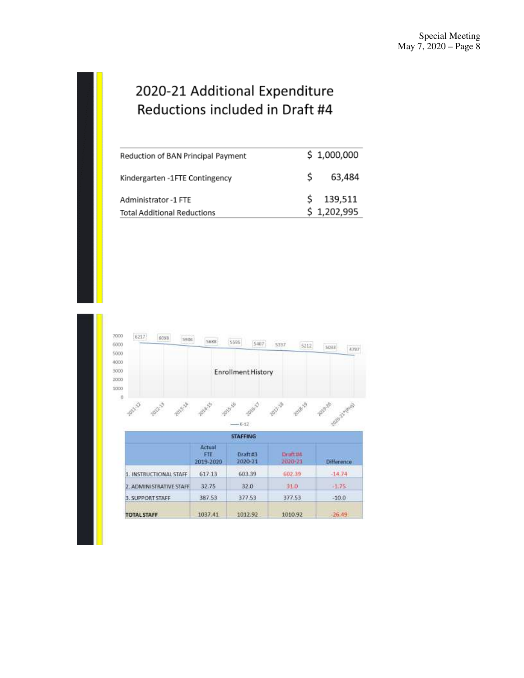## 2020-21 Additional Expenditure Reductions included in Draft #4

| Reduction of BAN Principal Payment |    | \$1,000,000 |
|------------------------------------|----|-------------|
| Kindergarten -1FTE Contingency     | S. | 63,484      |
| Administrator -1 FTE               |    | \$139,511   |
| <b>Total Additional Reductions</b> |    | \$1,202,995 |

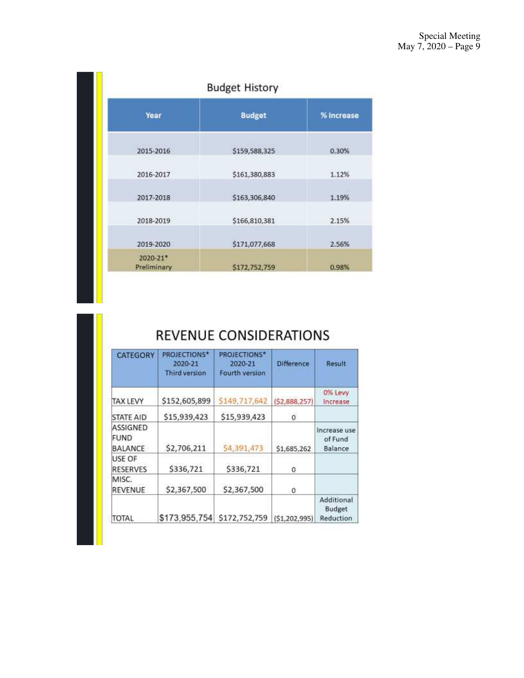| <b>Budget History</b>   |               |                          |  |  |  |  |
|-------------------------|---------------|--------------------------|--|--|--|--|
| Year                    | <b>Budget</b> | % Increase               |  |  |  |  |
| 2015-2016               | \$159,588,325 | <b>STARTING</b><br>0.30% |  |  |  |  |
| 2016-2017               | \$161,380,883 | 1.12%                    |  |  |  |  |
| 2017-2018               | \$163,306,840 | 1.19%                    |  |  |  |  |
| 2018-2019               | \$166,810,381 | 2.15%                    |  |  |  |  |
| 2019-2020               | \$171,077,668 | 2.56%                    |  |  |  |  |
| 2020-21*<br>Preliminary | \$172,752,759 | 0.98%                    |  |  |  |  |

## REVENUE CONSIDERATIONS

| <b>CATEGORY</b>                    | <b>PROJECTIONS*</b><br>2020-21<br>Third version | <b>PROJECTIONS*</b><br>2020-21<br>Fourth version | <b>Difference</b> | Result                             |
|------------------------------------|-------------------------------------------------|--------------------------------------------------|-------------------|------------------------------------|
| <b>TAX LEVY</b>                    | \$152,605,899                                   | \$149,717,642                                    | (52,888,257)      | 0% Levy<br>Increase                |
| <b>STATE AID</b>                   | \$15,939,423                                    | \$15,939,423                                     | 0                 |                                    |
| ASSIGNED<br>FUND<br><b>BALANCE</b> | \$2,706,211                                     | 54,391,473                                       | \$1,685,262       | Increase use<br>of Fund<br>Balance |
| USE OF<br><b>RESERVES</b>          | \$336,721                                       | \$336,721                                        | 0                 |                                    |
| MISC.<br>REVENUE                   | \$2,367,500                                     | \$2,367,500                                      | 0                 |                                    |
| TOTAL                              | \$173,955,754                                   | \$172,752,759                                    | (51, 202, 995)    | Additional<br>Budget<br>Reduction  |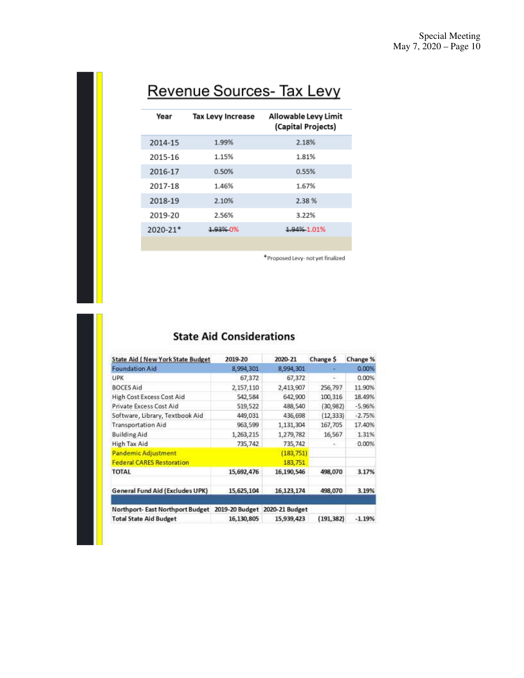# Revenue Sources- Tax Levy

| Year         | <b>Tax Levy Increase</b> | Allowable Levy Limit<br>(Capital Projects) |
|--------------|--------------------------|--------------------------------------------|
| 2014-15      | 1.99%                    | 2.18%                                      |
| 2015-16      | 1.15%                    | 1.81%                                      |
| 2016-17      | 0.50%                    | 0.55%                                      |
| 2017-18      | 1.46%                    | 1.67%                                      |
| 2018-19      | 2.10%                    | 2.38%                                      |
| 2019-20      | 2.56%                    | 3.22%                                      |
| $2020 - 21*$ | 1.93% 0%                 | 1.94% 1.01%                                |
|              |                          |                                            |

\*Proposed Levy- not yet finalized

## **State Aid Considerations**

| <b>State Aid (New York State Budget)</b> | 2019-20        | 2020-21        | Change \$  | Change % |
|------------------------------------------|----------------|----------------|------------|----------|
| <b>Foundation Aid</b>                    | 8,994,301      | 8,994,301      |            | 0.00%    |
| UPK                                      | 67,372         | 67,372         |            | 0.00%    |
| <b>BOCES Aid</b>                         | 2,157,110      | 2,413,907      | 256,797    | 11.90%   |
| High Cost Excess Cost Aid                | 542,584        | 642,900        | 100,316    | 18.49%   |
| Private Excess Cost Aid                  | 519,522        | 488,540        | (30, 982)  | $-5.96%$ |
| Software, Library, Textbook Aid          | 449,031        | 436,698        | (12, 333)  | $-2.75%$ |
| <b>Transportation Aid</b>                | 963,599        | 1,131,304      | 167,705    | 17.40%   |
| <b>Building Aid</b>                      | 1,263,215      | 1,279,782      | 16,567     | 1.31%    |
| High Tax Aid                             | 735,742        | 735,742        |            | 0.00%    |
| Pandemic Adjustment                      |                | (183, 751)     |            |          |
| <b>Federal CARES Restoration</b>         |                | 183,751        |            |          |
| TOTAL                                    | 15,692,476     | 16,190,546     | 498,070    | 3.17%    |
| General Fund Aid (Excludes UPK)          | 15,625,104     | 16,123,174     | 498,070    | 3.19%    |
| Northport- East Northport Budget         | 2019-20 Budget | 2020-21 Budget |            |          |
| <b>Total State Aid Budget</b>            | 16,130,805     | 15,939,423     | (191, 382) | $-1.19%$ |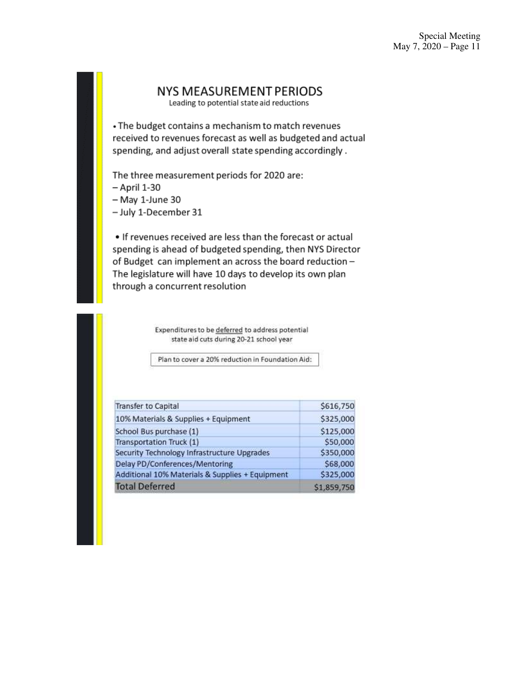### **NYS MEASUREMENT PERIODS**

Leading to potential state aid reductions

• The budget contains a mechanism to match revenues received to revenues forecast as well as budgeted and actual spending, and adjust overall state spending accordingly.

The three measurement periods for 2020 are:

- $-$  April 1-30
- May 1-June 30
- July 1-December 31

• If revenues received are less than the forecast or actual spending is ahead of budgeted spending, then NYS Director of Budget can implement an across the board reduction -The legislature will have 10 days to develop its own plan through a concurrent resolution

> Expenditures to be deferred to address potential state aid cuts during 20-21 school year

Plan to cover a 20% reduction in Foundation Aid:

| <b>Transfer to Capital</b>                      | \$616,750   |
|-------------------------------------------------|-------------|
| 10% Materials & Supplies + Equipment            | \$325,000   |
| School Bus purchase (1)                         | \$125,000   |
| Transportation Truck (1)                        | \$50,000    |
| Security Technology Infrastructure Upgrades     | \$350,000   |
| Delay PD/Conferences/Mentoring                  | \$68,000    |
| Additional 10% Materials & Supplies + Equipment | \$325,000   |
| <b>Total Deferred</b>                           | \$1,859,750 |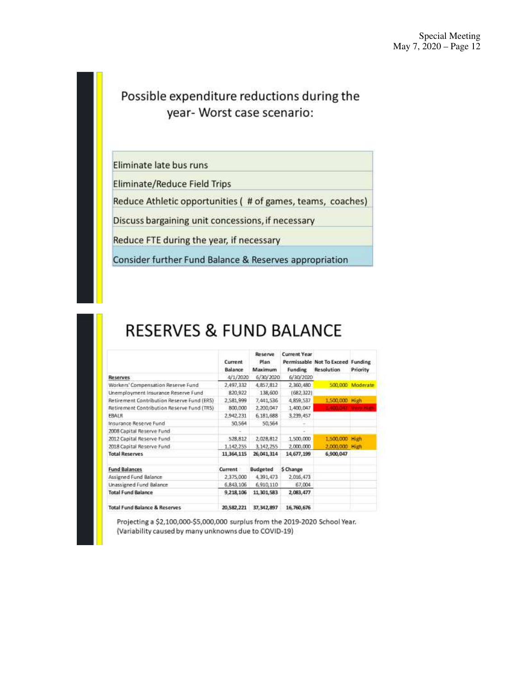## Possible expenditure reductions during the year- Worst case scenario:

Eliminate late bus runs

**Eliminate/Reduce Field Trips** 

Reduce Athletic opportunities ( # of games, teams, coaches)

Discuss bargaining unit concessions, if necessary

Reduce FTE during the year, if necessary

Consider further Fund Balance & Reserves appropriation

# **RESERVES & FUND BALANCE**

|                                            | Current<br>Balance | Reserve<br>Plan<br>Maximum | <b>Current Year</b><br>Funding | Permissable Not To Exceed Funding<br><b>Resolution</b> | Priority         |
|--------------------------------------------|--------------------|----------------------------|--------------------------------|--------------------------------------------------------|------------------|
| <b>Reserves</b>                            | 4/1/2020           | 6/30/2020                  | 6/30/2020                      |                                                        |                  |
| Workers' Compensation Reserve Fund         | 2,497,332          | 4,857,812                  | 2,360,480                      |                                                        | 500,000 Moderate |
| Unemployment Insurance Reserve Fund        | 820,922            | 138,600                    | (682,322)                      |                                                        |                  |
| Retirement Contribution Reserve Fund (ERS) | 2,581,999          | 7,441,536                  | 4,859,537                      | 1,500,000 High                                         |                  |
| Retirement Contribution Reserve Fund (TRS) | 800,000            | 2,200,047                  | 1,400,047                      | 11400 GAT Verry High                                   |                  |
| <b>FBALR</b>                               | 2,942.231          | 6,181,688                  | 3,239,457                      |                                                        |                  |
| Insurance Reserve Fund                     | 50.564             | 50,564                     |                                |                                                        |                  |
| 2008 Capital Reserve Fund                  |                    |                            |                                |                                                        |                  |
| 2012 Capital Reserve Fund                  | 528,812            | 2,028,812                  | 1,500,000                      | 1,500,000 High                                         |                  |
| 2018 Capital Reserve Fund                  | 1,142,255          | 3.142.255                  | 2,000.000                      | 2,000,000 High                                         |                  |
| <b>Total Reserves</b>                      | 11,364,115         | 26,041,314                 | 14,677,199                     | 6,900.047                                              |                  |
| <b>Fund Balances</b>                       | Current            | Budgeted                   | \$ Change                      |                                                        |                  |
| Assigned Fund Balance                      | 2,375,000          | 4,391,473                  | 2,016,473                      |                                                        |                  |
| Unassigned Fund Balance                    | 6,843,106          | 6,910,110                  | 67.004                         |                                                        |                  |
| <b>Total Fund Balance</b>                  | 9,218,106          | 11, 301, 583               | 2,083,477                      |                                                        |                  |
| <b>Total Fund Balance &amp; Reserves</b>   | 20,582,221         | 37, 342, 897               | 16,760,676                     |                                                        |                  |

Projecting a \$2,100,000-\$5,000,000 surplus from the 2019-2020 School Year. (Variability caused by many unknowns due to COVID-19)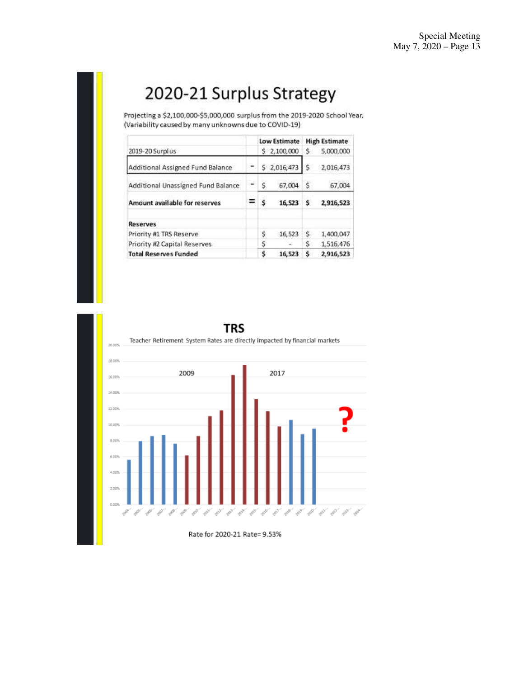# 2020-21 Surplus Strategy

Projecting a \$2,100,000-\$5,000,000 surplus from the 2019-2020 School Year. (Variability caused by many unknowns due to COVID-19)

|                                    |   |    | Low Estimate |    | <b>High Estimate</b> |
|------------------------------------|---|----|--------------|----|----------------------|
| 2019-20 Surplus                    |   |    | \$2,100,000  | S. | 5,000,000            |
| Additional Assigned Fund Balance   |   |    | \$2,016,473  | S  | 2,016,473            |
| Additional Unassigned Fund Balance |   | Ŝ  | 67.004       | s  | 67,004               |
| Amount available for reserves      | = | \$ | 16,523       | Ŝ  | 2,916,523            |
| <b>Reserves</b>                    |   |    |              |    |                      |
| Priority #1 TRS Reserve            |   | Ś  | 16,523       | Ś  | 1,400,047            |
| Priority #2 Capital Reserves       |   | \$ |              | Ś  | 1,516,476            |
| <b>Total Reserves Funded</b>       |   | Ś  | 16,523       | Ś  | 2,916,523            |



Rate for 2020-21 Rate= 9.53%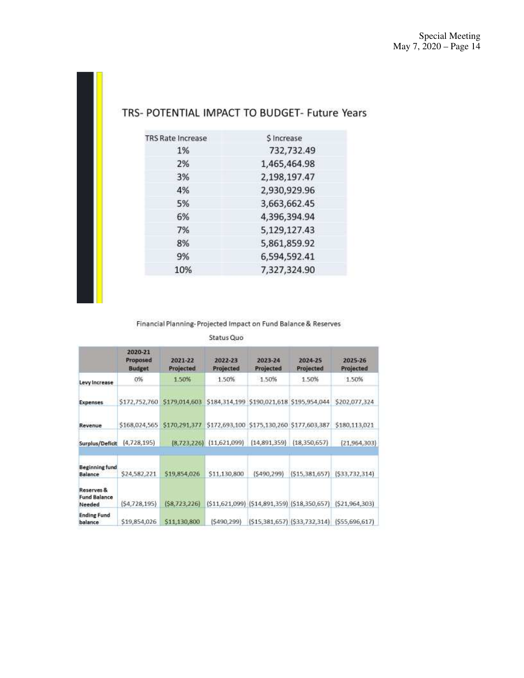| <b>TRS Rate Increase</b> | \$ Increase  |
|--------------------------|--------------|
| 1%                       | 732,732.49   |
| 2%                       | 1,465,464.98 |
| 3%                       | 2,198,197.47 |
| 4%                       | 2,930,929.96 |
| 5%                       | 3,663,662.45 |
| 6%                       | 4,396,394.94 |
| 7%                       | 5,129,127.43 |
| 8%                       | 5,861,859.92 |
| 9%                       | 6,594,592.41 |
| 10%                      | 7,327,324.90 |
|                          |              |

### TRS- POTENTIAL IMPACT TO BUDGET- Future Years

### Financial Planning-Projected Impact on Fund Balance & Reserves

### Status Quo

|                                             | 2020-21<br>Proposed<br><b>Budget</b> | 2021-22<br>Projected | 2022-23<br>Projected | 2023-24<br>Projected                         | 2024-25<br>Projected | 2025-26<br>Projected                                  |
|---------------------------------------------|--------------------------------------|----------------------|----------------------|----------------------------------------------|----------------------|-------------------------------------------------------|
| Levy Increase                               | 0%                                   | 1.50%                | 1.50%                | 1.50%                                        | 1.50%                | 1.50%                                                 |
| <b>Expenses</b>                             | \$172,752,760                        | \$179,014,603        |                      | \$184,314,199 \$190,021,618 \$195,954,044    |                      | \$202,077,324                                         |
| Revenue                                     | \$168,024,565                        | \$170,291,377        |                      | \$172,693,100 \$175,130,260 \$177,603,387    |                      | \$180,113,021                                         |
| Surplus/Deficit                             | (4,728,195)                          | (8, 723, 226)        | (11,621,099)         | (14,891,359)                                 | (18, 350, 657)       | (21,964,303)                                          |
| <b>Beginning fund</b><br>Balance            | \$24,582,221                         | 519,854,026          | \$11,130,800         | (5490, 299)                                  | (515, 381, 657)      | (533, 732, 314)                                       |
| Reserves &<br><b>Fund Balance</b><br>Needed | (54, 728, 195)                       | (58, 723, 226)       |                      | (\$11,621,099) (\$14,891,359) (\$18,350,657) |                      | (521, 964, 303)                                       |
| <b>Ending Fund</b><br>balance               | \$19,854,026                         | \$11,130,800         | (5490, 299)          |                                              |                      | $(515, 381, 657)$ $(533, 732, 314)$ $(555, 696, 617)$ |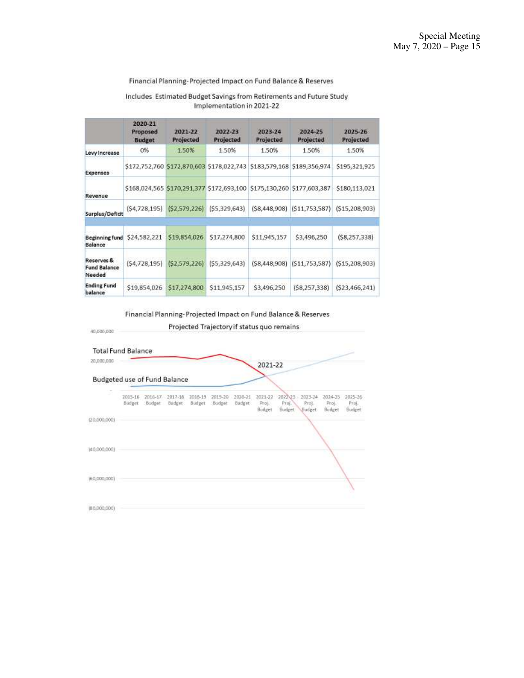### Financial Planning-Projected Impact on Fund Balance & Reserves

### Includes Estimated Budget Savings from Retirements and Future Study Implementation in 2021-22

|                                             | 2020-21<br>Proposed<br><b>Budget</b> | 2021-22<br>Projected | 2022-23<br>Projected                      | 2023-24<br>Projected | 2024-25<br>Projected         | 2025-26<br>Projected |
|---------------------------------------------|--------------------------------------|----------------------|-------------------------------------------|----------------------|------------------------------|----------------------|
| Levy Increase                               | 0%                                   | 1.50%                | 1.50%                                     | 1.50%                | 1.50%                        | 1.50%                |
| Expenses                                    |                                      |                      | \$172,752,760 \$172,870,603 \$178,022,743 |                      | \$183,579,168 \$189,356,974  | \$195,321,925        |
| Revenue                                     |                                      |                      | \$168,024,565 \$170,291,377 \$172,693,100 | \$175,130,260        | \$177,603,387                | 5180,113,021         |
| Surplus/Deficit                             | (S4, 728, 195)                       | (S2, 579, 226)       | (55, 329, 643)                            |                      | (\$8,448,908) (\$11,753,587) | (S15, 208, 903)      |
| <b>Beginning fund</b><br><b>Balance</b>     | \$24,582,221                         | \$19,854,026         | 517,274,800                               | \$11,945,157         | \$3,496,250                  | (58, 257, 338)       |
| Reserves &<br><b>Fund Balance</b><br>Needed | (54, 728, 195)                       | (52, 579, 226)       | (55, 329, 643)                            | (58, 448, 908)       | (S11, 753, 587)              | (515, 208, 903)      |
| <b>Ending Fund</b><br>balance               | \$19,854,026                         | \$17,274,800         | \$11,945,157                              | \$3,496,250          | (58, 257, 338)               | (523, 466, 241)      |

Financial Planning-Projected Impact on Fund Balance & Reserves

40,000,000

Projected Trajectory if status quo remains

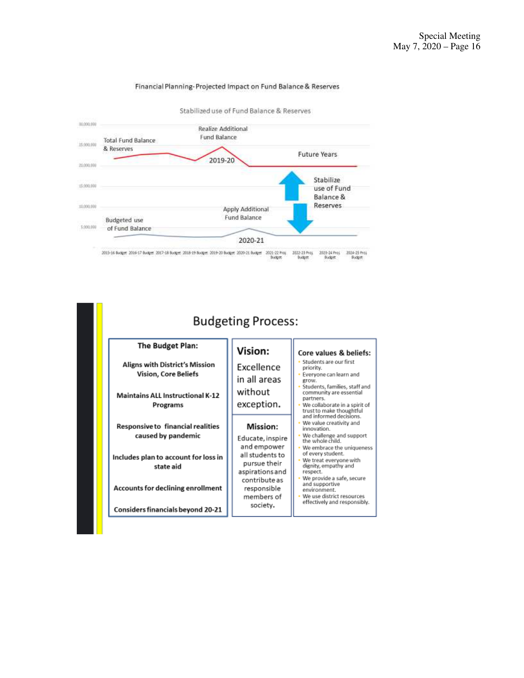

#### Financial Planning-Projected Impact on Fund Balance & Reserves

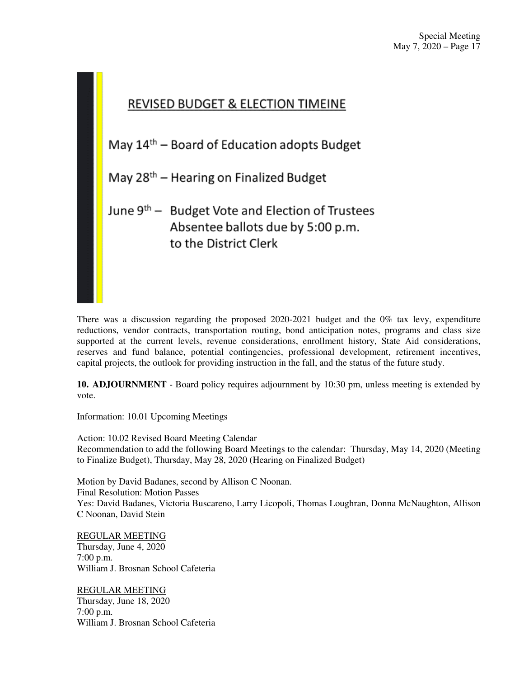

There was a discussion regarding the proposed 2020-2021 budget and the 0% tax levy, expenditure reductions, vendor contracts, transportation routing, bond anticipation notes, programs and class size supported at the current levels, revenue considerations, enrollment history, State Aid considerations, reserves and fund balance, potential contingencies, professional development, retirement incentives, capital projects, the outlook for providing instruction in the fall, and the status of the future study.

**10. ADJOURNMENT** - Board policy requires adjournment by 10:30 pm, unless meeting is extended by vote.

Information: 10.01 Upcoming Meetings

Action: 10.02 Revised Board Meeting Calendar Recommendation to add the following Board Meetings to the calendar: Thursday, May 14, 2020 (Meeting to Finalize Budget), Thursday, May 28, 2020 (Hearing on Finalized Budget)

Motion by David Badanes, second by Allison C Noonan. Final Resolution: Motion Passes Yes: David Badanes, Victoria Buscareno, Larry Licopoli, Thomas Loughran, Donna McNaughton, Allison C Noonan, David Stein

REGULAR MEETING Thursday, June 4, 2020 7:00 p.m. William J. Brosnan School Cafeteria

REGULAR MEETING Thursday, June 18, 2020 7:00 p.m. William J. Brosnan School Cafeteria